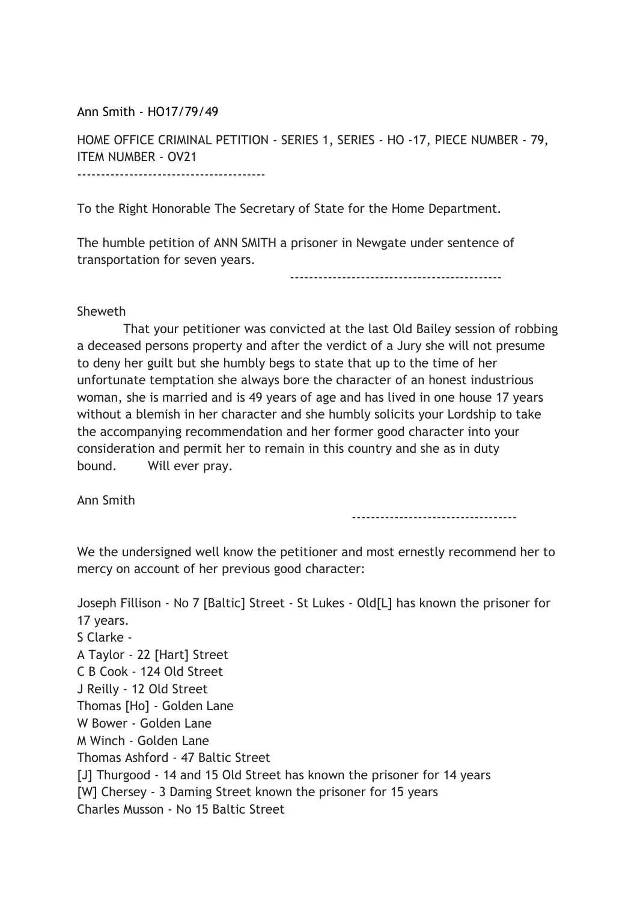Ann Smith - HO17/79/49

HOME OFFICE CRIMINAL PETITION - SERIES 1, SERIES - HO -17, PIECE NUMBER - 79, ITEM NUMBER - OV21 ----------------------------------------

To the Right Honorable The Secretary of State for the Home Department.

The humble petition of ANN SMITH a prisoner in Newgate under sentence of transportation for seven years.

---------------------------------------------

## Sheweth

 That your petitioner was convicted at the last Old Bailey session of robbing a deceased persons property and after the verdict of a Jury she will not presume to deny her guilt but she humbly begs to state that up to the time of her unfortunate temptation she always bore the character of an honest industrious woman, she is married and is 49 years of age and has lived in one house 17 years without a blemish in her character and she humbly solicits your Lordship to take the accompanying recommendation and her former good character into your consideration and permit her to remain in this country and she as in duty bound. Will ever pray.

Ann Smith

-----------------------------------

We the undersigned well know the petitioner and most ernestly recommend her to mercy on account of her previous good character:

Joseph Fillison - No 7 [Baltic] Street - St Lukes - Old[L] has known the prisoner for 17 years. S Clarke - A Taylor - 22 [Hart] Street C B Cook - 124 Old Street J Reilly - 12 Old Street Thomas [Ho] - Golden Lane W Bower - Golden Lane M Winch - Golden Lane Thomas Ashford - 47 Baltic Street [J] Thurgood - 14 and 15 Old Street has known the prisoner for 14 years [W] Chersey - 3 Daming Street known the prisoner for 15 years Charles Musson - No 15 Baltic Street